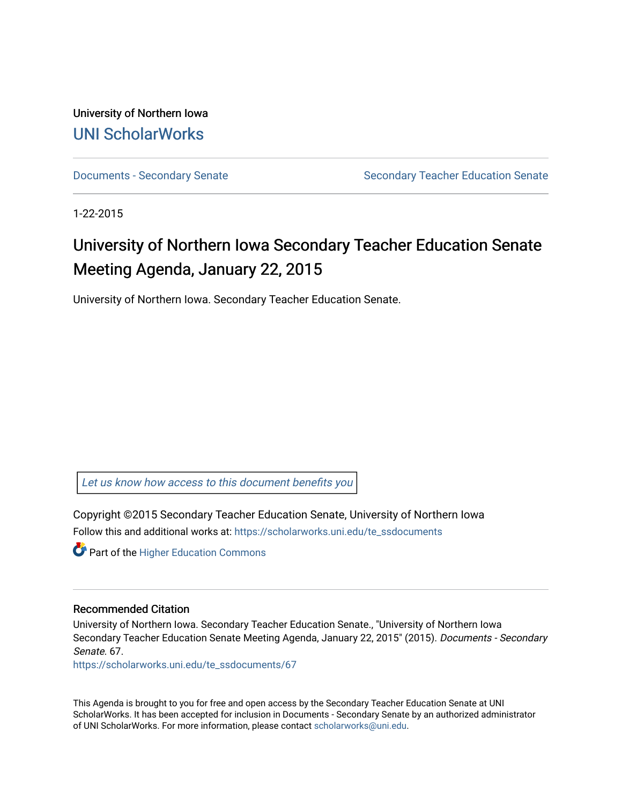University of Northern Iowa [UNI ScholarWorks](https://scholarworks.uni.edu/) 

[Documents - Secondary Senate](https://scholarworks.uni.edu/te_ssdocuments) Senate Secondary Teacher Education Senate

1-22-2015

## University of Northern Iowa Secondary Teacher Education Senate Meeting Agenda, January 22, 2015

University of Northern Iowa. Secondary Teacher Education Senate.

[Let us know how access to this document benefits you](https://scholarworks.uni.edu/feedback_form.html) 

Copyright ©2015 Secondary Teacher Education Senate, University of Northern Iowa Follow this and additional works at: [https://scholarworks.uni.edu/te\\_ssdocuments](https://scholarworks.uni.edu/te_ssdocuments?utm_source=scholarworks.uni.edu%2Fte_ssdocuments%2F67&utm_medium=PDF&utm_campaign=PDFCoverPages) 

**Part of the Higher Education Commons** 

## Recommended Citation

University of Northern Iowa. Secondary Teacher Education Senate., "University of Northern Iowa Secondary Teacher Education Senate Meeting Agenda, January 22, 2015" (2015). Documents - Secondary Senate. 67.

[https://scholarworks.uni.edu/te\\_ssdocuments/67](https://scholarworks.uni.edu/te_ssdocuments/67?utm_source=scholarworks.uni.edu%2Fte_ssdocuments%2F67&utm_medium=PDF&utm_campaign=PDFCoverPages)

This Agenda is brought to you for free and open access by the Secondary Teacher Education Senate at UNI ScholarWorks. It has been accepted for inclusion in Documents - Secondary Senate by an authorized administrator of UNI ScholarWorks. For more information, please contact [scholarworks@uni.edu](mailto:scholarworks@uni.edu).